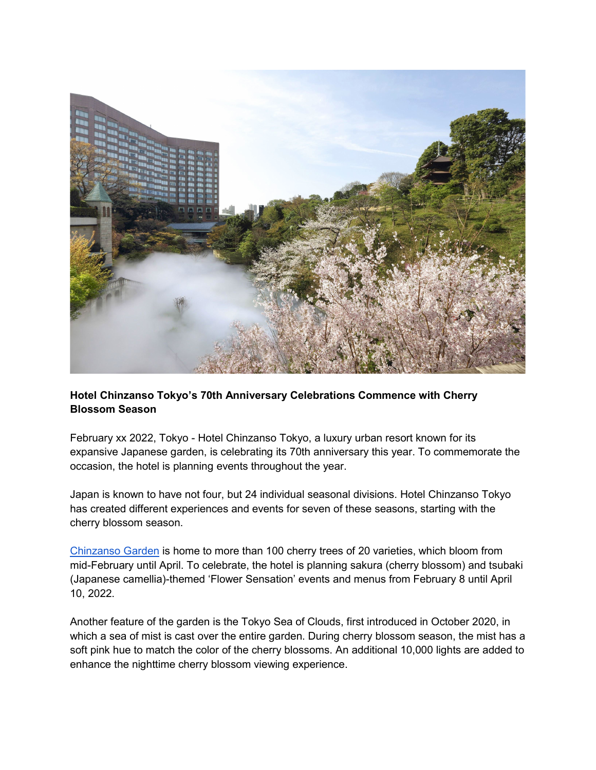

## **Hotel Chinzanso Tokyo's 70th Anniversary Celebrations Commence with Cherry Blossom Season**

February xx 2022, Tokyo - Hotel Chinzanso Tokyo, a luxury urban resort known for its expansive Japanese garden, is celebrating its 70th anniversary this year. To commemorate the occasion, the hotel is planning events throughout the year.

Japan is known to have not four, but 24 individual seasonal divisions. Hotel Chinzanso Tokyo has created different experiences and events for seven of these seasons, starting with the cherry blossom season.

[Chinzanso Garden](https://www.hotel-chinzanso-tokyo.com/news/hotel-chinzanso-tokyo-garden-tours-discover-the-secret-history-of-tokyo) is home to more than 100 cherry trees of 20 varieties, which bloom from mid-February until April. To celebrate, the hotel is planning sakura (cherry blossom) and tsubaki (Japanese camellia)-themed 'Flower Sensation' events and menus from February 8 until April 10, 2022.

Another feature of the garden is the Tokyo Sea of Clouds, first introduced in October 2020, in which a sea of mist is cast over the entire garden. During cherry blossom season, the mist has a soft pink hue to match the color of the cherry blossoms. An additional 10,000 lights are added to enhance the nighttime cherry blossom viewing experience.